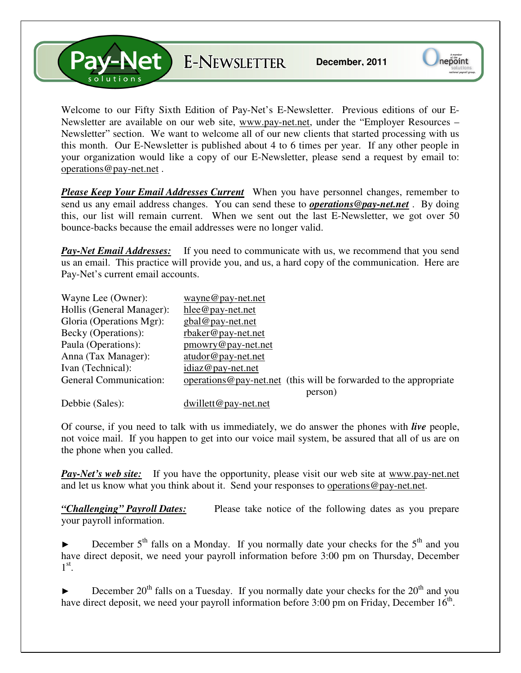ANet E-NEWSLETTER

Welcome to our Fifty Sixth Edition of Pay-Net's E-Newsletter. Previous editions of our E-Newsletter are available on our web site, www.pay-net.net, under the "Employer Resources – Newsletter" section. We want to welcome all of our new clients that started processing with us this month. Our E-Newsletter is published about 4 to 6 times per year. If any other people in your organization would like a copy of our E-Newsletter, please send a request by email to: operations@pay-net.net .

*Please Keep Your Email Addresses Current* When you have personnel changes, remember to send us any email address changes. You can send these to *operations@pay-net.net* . By doing this, our list will remain current. When we sent out the last E-Newsletter, we got over 50 bounce-backs because the email addresses were no longer valid.

**Pay-Net Email Addresses:** If you need to communicate with us, we recommend that you send us an email. This practice will provide you, and us, a hard copy of the communication. Here are Pay-Net's current email accounts.

| Wayne Lee (Owner):            | wayne@pay-net.net                                                     |
|-------------------------------|-----------------------------------------------------------------------|
| Hollis (General Manager):     | $hlee@pay-net.net$                                                    |
| Gloria (Operations Mgr):      | $gbal@pay-net.net$                                                    |
| Becky (Operations):           | rbaker@pay-net.net                                                    |
| Paula (Operations):           | $p$ mowry@pay-net.net                                                 |
| Anna (Tax Manager):           | atudor@pay-net.net                                                    |
| Ivan (Technical):             | idiaz@pay-net.net                                                     |
| <b>General Communication:</b> | operations $@$ pay-net net (this will be forwarded to the appropriate |
|                               | person)                                                               |
| Debbie (Sales):               | $dwillett@pay-net.net$                                                |

Of course, if you need to talk with us immediately, we do answer the phones with *live* people, not voice mail. If you happen to get into our voice mail system, be assured that all of us are on the phone when you called.

*Pay-Net's web site:* If you have the opportunity, please visit our web site at www.pay-net.net and let us know what you think about it. Send your responses to operations@pay-net.net.

*"Challenging" Payroll Dates:* Please take notice of the following dates as you prepare your payroll information.

December  $5<sup>th</sup>$  falls on a Monday. If you normally date your checks for the  $5<sup>th</sup>$  and you have direct deposit, we need your payroll information before 3:00 pm on Thursday, December  $1^\text{st}$ .

December  $20<sup>th</sup>$  falls on a Tuesday. If you normally date your checks for the  $20<sup>th</sup>$  and you have direct deposit, we need your payroll information before 3:00 pm on Friday, December  $16<sup>th</sup>$ .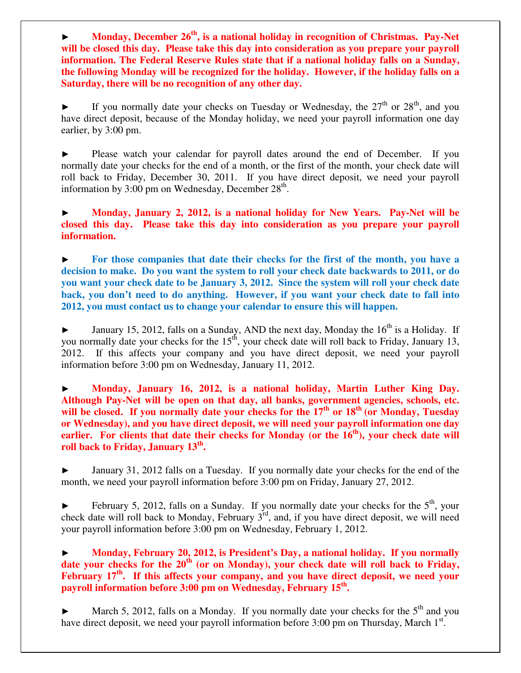► **Monday, December 26th, is a national holiday in recognition of Christmas. Pay-Net will be closed this day. Please take this day into consideration as you prepare your payroll information. The Federal Reserve Rules state that if a national holiday falls on a Sunday, the following Monday will be recognized for the holiday. However, if the holiday falls on a Saturday, there will be no recognition of any other day.** 

If you normally date your checks on Tuesday or Wednesday, the  $27<sup>th</sup>$  or  $28<sup>th</sup>$ , and you have direct deposit, because of the Monday holiday, we need your payroll information one day earlier, by 3:00 pm.

Please watch your calendar for payroll dates around the end of December. If you normally date your checks for the end of a month, or the first of the month, your check date will roll back to Friday, December 30, 2011. If you have direct deposit, we need your payroll information by 3:00 pm on Wednesday, December  $28<sup>th</sup>$ .

► **Monday, January 2, 2012, is a national holiday for New Years. Pay-Net will be closed this day. Please take this day into consideration as you prepare your payroll information.** 

► **For those companies that date their checks for the first of the month, you have a decision to make. Do you want the system to roll your check date backwards to 2011, or do you want your check date to be January 3, 2012. Since the system will roll your check date back, you don't need to do anything. However, if you want your check date to fall into 2012, you must contact us to change your calendar to ensure this will happen.** 

 $\blacktriangleright$  January 15, 2012, falls on a Sunday, AND the next day, Monday the 16<sup>th</sup> is a Holiday. If you normally date your checks for the  $15<sup>th</sup>$ , your check date will roll back to Friday, January 13, 2012. If this affects your company and you have direct deposit, we need your payroll information before 3:00 pm on Wednesday, January 11, 2012.

► **Monday, January 16, 2012, is a national holiday, Martin Luther King Day. Although Pay-Net will be open on that day, all banks, government agencies, schools, etc.**  will be closed. If you normally date your checks for the 17<sup>th</sup> or 18<sup>th</sup> (or Monday, Tuesday **or Wednesday), and you have direct deposit, we will need your payroll information one day earlier. For clients that date their checks for Monday (or the 16th), your check date will roll back to Friday, January 13th .**

► January 31, 2012 falls on a Tuesday. If you normally date your checks for the end of the month, we need your payroll information before 3:00 pm on Friday, January 27, 2012.

February 5, 2012, falls on a Sunday. If you normally date your checks for the  $5<sup>th</sup>$ , your check date will roll back to Monday, February 3rd, and, if you have direct deposit, we will need your payroll information before 3:00 pm on Wednesday, February 1, 2012.

► **Monday, February 20, 2012, is President's Day, a national holiday. If you normally**  date your checks for the 20<sup>th</sup> (or on Monday), your check date will roll back to Friday, February 17<sup>th</sup>. If this affects your company, and you have direct deposit, we need your **payroll information before 3:00 pm on Wednesday, February 15th .** 

March 5, 2012, falls on a Monday. If you normally date your checks for the  $5<sup>th</sup>$  and you have direct deposit, we need your payroll information before  $3:00$  pm on Thursday, March  $1<sup>st</sup>$ .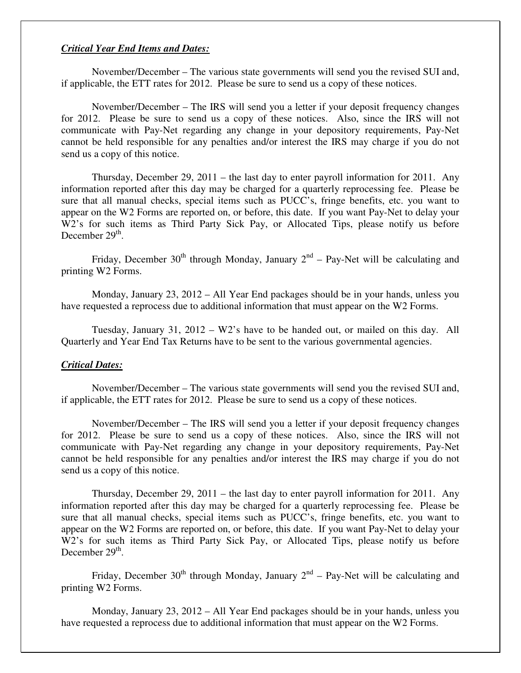### *Critical Year End Items and Dates:*

 November/December – The various state governments will send you the revised SUI and, if applicable, the ETT rates for 2012. Please be sure to send us a copy of these notices.

 November/December – The IRS will send you a letter if your deposit frequency changes for 2012. Please be sure to send us a copy of these notices. Also, since the IRS will not communicate with Pay-Net regarding any change in your depository requirements, Pay-Net cannot be held responsible for any penalties and/or interest the IRS may charge if you do not send us a copy of this notice.

 Thursday, December 29, 2011 – the last day to enter payroll information for 2011. Any information reported after this day may be charged for a quarterly reprocessing fee. Please be sure that all manual checks, special items such as PUCC's, fringe benefits, etc. you want to appear on the W2 Forms are reported on, or before, this date. If you want Pay-Net to delay your W2's for such items as Third Party Sick Pay, or Allocated Tips, please notify us before December 29<sup>th</sup>.

Friday, December 30<sup>th</sup> through Monday, January  $2^{nd}$  – Pay-Net will be calculating and printing W2 Forms.

 Monday, January 23, 2012 – All Year End packages should be in your hands, unless you have requested a reprocess due to additional information that must appear on the W2 Forms.

 Tuesday, January 31, 2012 – W2's have to be handed out, or mailed on this day. All Quarterly and Year End Tax Returns have to be sent to the various governmental agencies.

#### *Critical Dates:*

 November/December – The various state governments will send you the revised SUI and, if applicable, the ETT rates for 2012. Please be sure to send us a copy of these notices.

 November/December – The IRS will send you a letter if your deposit frequency changes for 2012. Please be sure to send us a copy of these notices. Also, since the IRS will not communicate with Pay-Net regarding any change in your depository requirements, Pay-Net cannot be held responsible for any penalties and/or interest the IRS may charge if you do not send us a copy of this notice.

 Thursday, December 29, 2011 – the last day to enter payroll information for 2011. Any information reported after this day may be charged for a quarterly reprocessing fee. Please be sure that all manual checks, special items such as PUCC's, fringe benefits, etc. you want to appear on the W2 Forms are reported on, or before, this date. If you want Pay-Net to delay your W2's for such items as Third Party Sick Pay, or Allocated Tips, please notify us before December  $29<sup>th</sup>$ .

Friday, December 30<sup>th</sup> through Monday, January  $2<sup>nd</sup>$  – Pay-Net will be calculating and printing W2 Forms.

 Monday, January 23, 2012 – All Year End packages should be in your hands, unless you have requested a reprocess due to additional information that must appear on the W2 Forms.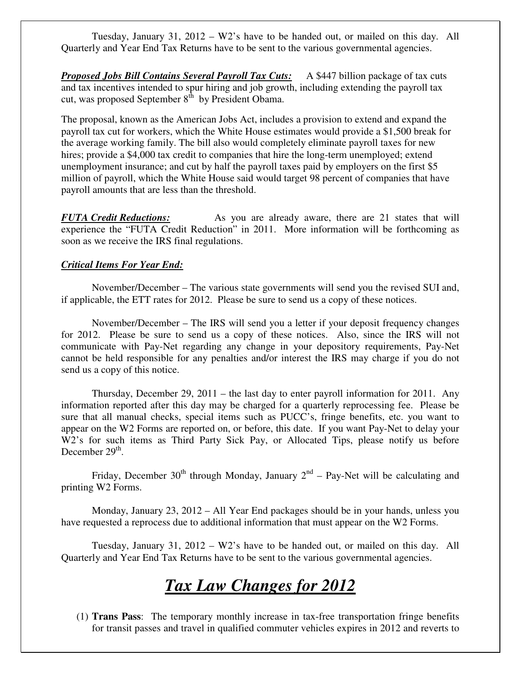Tuesday, January 31, 2012 – W2's have to be handed out, or mailed on this day. All Quarterly and Year End Tax Returns have to be sent to the various governmental agencies.

*Proposed Jobs Bill Contains Several Payroll Tax Cuts:* A \$447 billion package of tax cuts and tax incentives intended to spur hiring and job growth, including extending the payroll tax cut, was proposed September  $8<sup>th</sup>$  by President Obama.

The proposal, known as the American Jobs Act, includes a provision to extend and expand the payroll tax cut for workers, which the White House estimates would provide a \$1,500 break for the average working family. The bill also would completely eliminate payroll taxes for new hires; provide a \$4,000 tax credit to companies that hire the long-term unemployed; extend unemployment insurance; and cut by half the payroll taxes paid by employers on the first \$5 million of payroll, which the White House said would target 98 percent of companies that have payroll amounts that are less than the threshold.

*FUTA Credit Reductions:* As you are already aware, there are 21 states that will experience the "FUTA Credit Reduction" in 2011. More information will be forthcoming as soon as we receive the IRS final regulations.

## *Critical Items For Year End:*

 November/December – The various state governments will send you the revised SUI and, if applicable, the ETT rates for 2012. Please be sure to send us a copy of these notices.

 November/December – The IRS will send you a letter if your deposit frequency changes for 2012. Please be sure to send us a copy of these notices. Also, since the IRS will not communicate with Pay-Net regarding any change in your depository requirements, Pay-Net cannot be held responsible for any penalties and/or interest the IRS may charge if you do not send us a copy of this notice.

 Thursday, December 29, 2011 – the last day to enter payroll information for 2011. Any information reported after this day may be charged for a quarterly reprocessing fee. Please be sure that all manual checks, special items such as PUCC's, fringe benefits, etc. you want to appear on the W2 Forms are reported on, or before, this date. If you want Pay-Net to delay your W2's for such items as Third Party Sick Pay, or Allocated Tips, please notify us before December  $29<sup>th</sup>$ .

Friday, December 30<sup>th</sup> through Monday, January  $2<sup>nd</sup>$  – Pay-Net will be calculating and printing W2 Forms.

 Monday, January 23, 2012 – All Year End packages should be in your hands, unless you have requested a reprocess due to additional information that must appear on the W2 Forms.

 Tuesday, January 31, 2012 – W2's have to be handed out, or mailed on this day. All Quarterly and Year End Tax Returns have to be sent to the various governmental agencies.

# *Tax Law Changes for 2012*

(1) **Trans Pass**: The temporary monthly increase in tax-free transportation fringe benefits for transit passes and travel in qualified commuter vehicles expires in 2012 and reverts to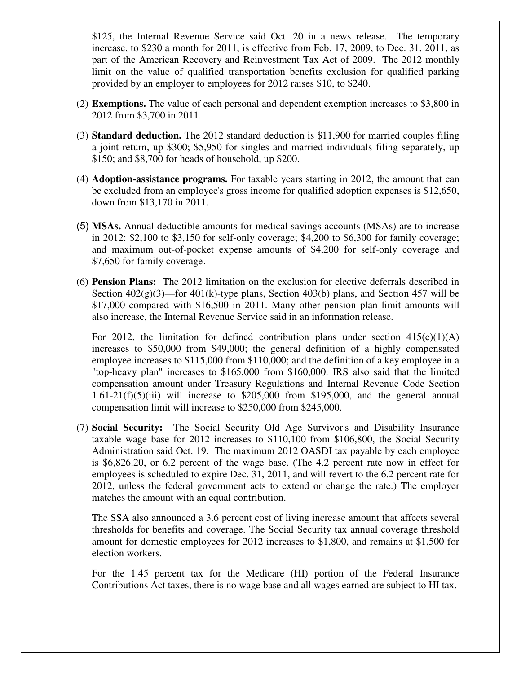\$125, the Internal Revenue Service said Oct. 20 in a news release. The temporary increase, to \$230 a month for 2011, is effective from Feb. 17, 2009, to Dec. 31, 2011, as part of the American Recovery and Reinvestment Tax Act of 2009. The 2012 monthly limit on the value of qualified transportation benefits exclusion for qualified parking provided by an employer to employees for 2012 raises \$10, to \$240.

- (2) **Exemptions.** The value of each personal and dependent exemption increases to \$3,800 in 2012 from \$3,700 in 2011.
- (3) **Standard deduction.** The 2012 standard deduction is \$11,900 for married couples filing a joint return, up \$300; \$5,950 for singles and married individuals filing separately, up \$150; and \$8,700 for heads of household, up \$200.
- (4) **Adoption-assistance programs.** For taxable years starting in 2012, the amount that can be excluded from an employee's gross income for qualified adoption expenses is \$12,650, down from \$13,170 in 2011.
- (5) **MSAs.** Annual deductible amounts for medical savings accounts (MSAs) are to increase in 2012: \$2,100 to \$3,150 for self-only coverage; \$4,200 to \$6,300 for family coverage; and maximum out-of-pocket expense amounts of \$4,200 for self-only coverage and \$7,650 for family coverage.
- (6) **Pension Plans:** The 2012 limitation on the exclusion for elective deferrals described in Section  $402(g)(3)$ —for  $401(k)$ -type plans, Section 403(b) plans, and Section 457 will be \$17,000 compared with \$16,500 in 2011. Many other pension plan limit amounts will also increase, the Internal Revenue Service said in an information release.

For 2012, the limitation for defined contribution plans under section  $415(c)(1)(A)$ increases to \$50,000 from \$49,000; the general definition of a highly compensated employee increases to \$115,000 from \$110,000; and the definition of a key employee in a "top-heavy plan" increases to \$165,000 from \$160,000. IRS also said that the limited compensation amount under Treasury Regulations and Internal Revenue Code Section  $1.61-21(f)(5)(iii)$  will increase to \$205,000 from \$195,000, and the general annual compensation limit will increase to \$250,000 from \$245,000.

(7) **Social Security:** The Social Security Old Age Survivor's and Disability Insurance taxable wage base for 2012 increases to \$110,100 from \$106,800, the Social Security Administration said Oct. 19. The maximum 2012 OASDI tax payable by each employee is \$6,826.20, or 6.2 percent of the wage base. (The 4.2 percent rate now in effect for employees is scheduled to expire Dec. 31, 2011, and will revert to the 6.2 percent rate for 2012, unless the federal government acts to extend or change the rate.) The employer matches the amount with an equal contribution.

The SSA also announced a 3.6 percent cost of living increase amount that affects several thresholds for benefits and coverage. The Social Security tax annual coverage threshold amount for domestic employees for 2012 increases to \$1,800, and remains at \$1,500 for election workers.

For the 1.45 percent tax for the Medicare (HI) portion of the Federal Insurance Contributions Act taxes, there is no wage base and all wages earned are subject to HI tax.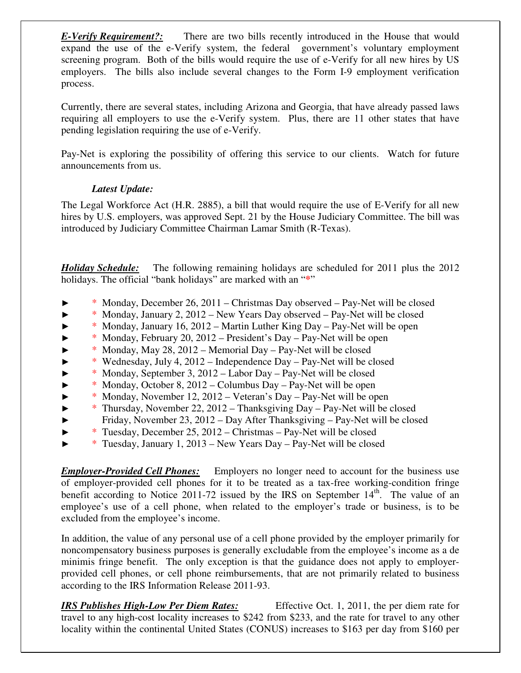*E-Verify Requirement?:* There are two bills recently introduced in the House that would expand the use of the e-Verify system, the federal government's voluntary employment screening program. Both of the bills would require the use of e-Verify for all new hires by US employers. The bills also include several changes to the Form I-9 employment verification process.

Currently, there are several states, including Arizona and Georgia, that have already passed laws requiring all employers to use the e-Verify system. Plus, there are 11 other states that have pending legislation requiring the use of e-Verify.

Pay-Net is exploring the possibility of offering this service to our clients. Watch for future announcements from us.

## *Latest Update:*

The Legal Workforce Act (H.R. 2885), a bill that would require the use of E-Verify for all new hires by U.S. employers, was approved Sept. 21 by the House Judiciary Committee. The bill was introduced by Judiciary Committee Chairman Lamar Smith (R-Texas).

*Holiday Schedule:* The following remaining holidays are scheduled for 2011 plus the 2012 holidays. The official "bank holidays" are marked with an "**\***"

- ► \* Monday, December 26, 2011 Christmas Day observed Pay-Net will be closed
- ► \* Monday, January 2, 2012 New Years Day observed Pay-Net will be closed
- ► \* Monday, January 16, 2012 Martin Luther King Day Pay-Net will be open
- ► \* Monday, February 20, 2012 President's Day Pay-Net will be open
- ► \* Monday, May 28, 2012 Memorial Day Pay-Net will be closed
- ► \* Wednesday, July 4, 2012 Independence Day Pay-Net will be closed
- ► \* Monday, September 3, 2012 Labor Day Pay-Net will be closed
- ► \* Monday, October 8, 2012 Columbus Day Pay-Net will be open
- ► \* Monday, November 12, 2012 Veteran's Day Pay-Net will be open
- ► \* Thursday, November 22, 2012 Thanksgiving Day Pay-Net will be closed ► Friday, November 23, 2012 – Day After Thanksgiving – Pay-Net will be closed
- ► \* Tuesday, December 25, 2012 Christmas Pay-Net will be closed
- ► \* Tuesday, January 1, 2013 New Years Day Pay-Net will be closed

*Employer-Provided Cell Phones:* Employers no longer need to account for the business use of employer-provided cell phones for it to be treated as a tax-free working-condition fringe benefit according to Notice 2011-72 issued by the IRS on September  $14<sup>th</sup>$ . The value of an employee's use of a cell phone, when related to the employer's trade or business, is to be excluded from the employee's income.

In addition, the value of any personal use of a cell phone provided by the employer primarily for noncompensatory business purposes is generally excludable from the employee's income as a de minimis fringe benefit. The only exception is that the guidance does not apply to employerprovided cell phones, or cell phone reimbursements, that are not primarily related to business according to the IRS Information Release 2011-93.

*IRS Publishes High-Low Per Diem Rates:* Effective Oct. 1, 2011, the per diem rate for travel to any high-cost locality increases to \$242 from \$233, and the rate for travel to any other locality within the continental United States (CONUS) increases to \$163 per day from \$160 per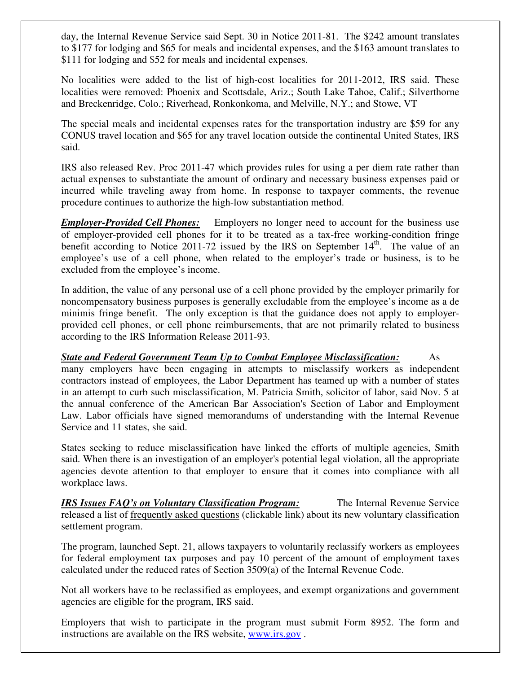day, the Internal Revenue Service said Sept. 30 in Notice 2011-81. The \$242 amount translates to \$177 for lodging and \$65 for meals and incidental expenses, and the \$163 amount translates to \$111 for lodging and \$52 for meals and incidental expenses.

No localities were added to the list of high-cost localities for 2011-2012, IRS said. These localities were removed: Phoenix and Scottsdale, Ariz.; South Lake Tahoe, Calif.; Silverthorne and Breckenridge, Colo.; Riverhead, Ronkonkoma, and Melville, N.Y.; and Stowe, VT

The special meals and incidental expenses rates for the transportation industry are \$59 for any CONUS travel location and \$65 for any travel location outside the continental United States, IRS said.

IRS also released Rev. Proc 2011-47 which provides rules for using a per diem rate rather than actual expenses to substantiate the amount of ordinary and necessary business expenses paid or incurred while traveling away from home. In response to taxpayer comments, the revenue procedure continues to authorize the high-low substantiation method.

*Employer-Provided Cell Phones:* Employers no longer need to account for the business use of employer-provided cell phones for it to be treated as a tax-free working-condition fringe benefit according to Notice 2011-72 issued by the IRS on September  $14<sup>th</sup>$ . The value of an employee's use of a cell phone, when related to the employer's trade or business, is to be excluded from the employee's income.

In addition, the value of any personal use of a cell phone provided by the employer primarily for noncompensatory business purposes is generally excludable from the employee's income as a de minimis fringe benefit. The only exception is that the guidance does not apply to employerprovided cell phones, or cell phone reimbursements, that are not primarily related to business according to the IRS Information Release 2011-93.

*State and Federal Government Team Up to Combat Employee Misclassification:* As many employers have been engaging in attempts to misclassify workers as independent contractors instead of employees, the Labor Department has teamed up with a number of states in an attempt to curb such misclassification, M. Patricia Smith, solicitor of labor, said Nov. 5 at the annual conference of the American Bar Association's Section of Labor and Employment Law. Labor officials have signed memorandums of understanding with the Internal Revenue Service and 11 states, she said.

States seeking to reduce misclassification have linked the efforts of multiple agencies, Smith said. When there is an investigation of an employer's potential legal violation, all the appropriate agencies devote attention to that employer to ensure that it comes into compliance with all workplace laws.

*IRS Issues FAQ's on Voluntary Classification Program:* The Internal Revenue Service released a list of frequently asked questions (clickable link) about its new voluntary classification settlement program.

The program, launched Sept. 21, allows taxpayers to voluntarily reclassify workers as employees for federal employment tax purposes and pay 10 percent of the amount of employment taxes calculated under the reduced rates of Section 3509(a) of the Internal Revenue Code.

Not all workers have to be reclassified as employees, and exempt organizations and government agencies are eligible for the program, IRS said.

Employers that wish to participate in the program must submit Form 8952. The form and instructions are available on the IRS website, www.irs.gov .